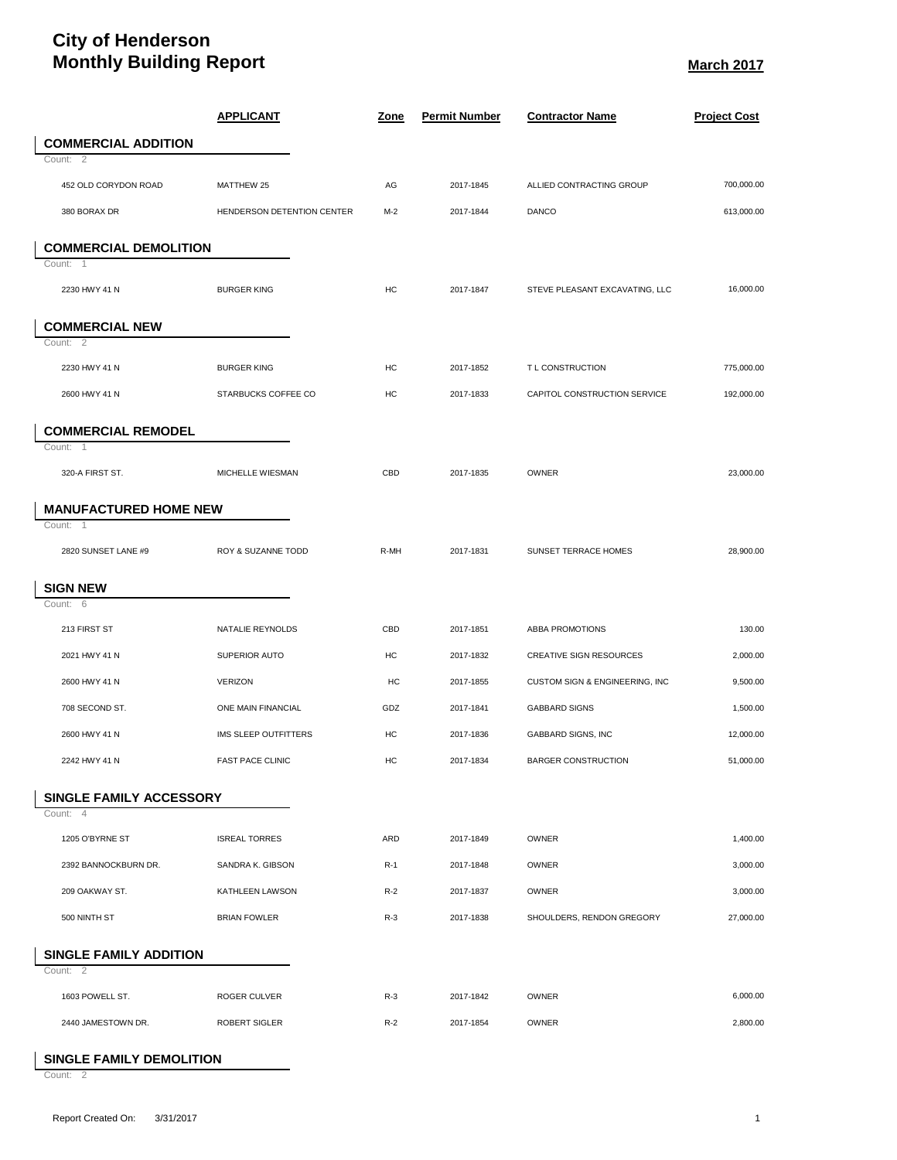## **City of Henderson Monthly Building Report March 2017**

|                                    | <b>APPLICANT</b>           | <u>Zone</u> | <b>Permit Number</b> | <b>Contractor Name</b>         | <b>Project Cost</b> |
|------------------------------------|----------------------------|-------------|----------------------|--------------------------------|---------------------|
| <b>COMMERCIAL ADDITION</b>         |                            |             |                      |                                |                     |
| Count: 2                           |                            |             |                      |                                |                     |
| 452 OLD CORYDON ROAD               | MATTHEW 25                 | AG          | 2017-1845            | ALLIED CONTRACTING GROUP       | 700,000.00          |
| 380 BORAX DR                       | HENDERSON DETENTION CENTER | $M-2$       | 2017-1844            | <b>DANCO</b>                   | 613,000.00          |
| <b>COMMERCIAL DEMOLITION</b>       |                            |             |                      |                                |                     |
| Count: 1                           |                            |             |                      |                                |                     |
| 2230 HWY 41 N                      | <b>BURGER KING</b>         | HC          | 2017-1847            | STEVE PLEASANT EXCAVATING, LLC | 16,000.00           |
| <b>COMMERCIAL NEW</b>              |                            |             |                      |                                |                     |
| Count: 2                           |                            |             |                      |                                |                     |
| 2230 HWY 41 N                      | <b>BURGER KING</b>         | HC          | 2017-1852            | T L CONSTRUCTION               | 775,000.00          |
| 2600 HWY 41 N                      | STARBUCKS COFFEE CO        | HC          | 2017-1833            | CAPITOL CONSTRUCTION SERVICE   | 192,000.00          |
| <b>COMMERCIAL REMODEL</b>          |                            |             |                      |                                |                     |
| Count: 1                           |                            |             |                      |                                |                     |
| 320-A FIRST ST.                    | MICHELLE WIESMAN           | CBD         | 2017-1835            | OWNER                          | 23,000.00           |
| <b>MANUFACTURED HOME NEW</b><br>-1 |                            |             |                      |                                |                     |
| Count:                             |                            |             |                      |                                |                     |
| 2820 SUNSET LANE #9                | ROY & SUZANNE TODD         | R-MH        | 2017-1831            | SUNSET TERRACE HOMES           | 28,900.00           |
| <b>SIGN NEW</b>                    |                            |             |                      |                                |                     |
| Count: 6                           |                            |             |                      |                                |                     |
| 213 FIRST ST                       | NATALIE REYNOLDS           | CBD         | 2017-1851            | ABBA PROMOTIONS                | 130.00              |
| 2021 HWY 41 N                      | SUPERIOR AUTO              | HC          | 2017-1832            | <b>CREATIVE SIGN RESOURCES</b> | 2,000.00            |
| 2600 HWY 41 N                      | <b>VERIZON</b>             | HC          | 2017-1855            | CUSTOM SIGN & ENGINEERING, INC | 9,500.00            |
| 708 SECOND ST.                     | ONE MAIN FINANCIAL         | GDZ         | 2017-1841            | <b>GABBARD SIGNS</b>           | 1,500.00            |
| 2600 HWY 41 N                      | IMS SLEEP OUTFITTERS       | HC          | 2017-1836            | GABBARD SIGNS, INC             | 12,000.00           |
| 2242 HWY 41 N                      | <b>FAST PACE CLINIC</b>    | HC          | 2017-1834            | <b>BARGER CONSTRUCTION</b>     | 51,000.00           |
| SINGLE FAMILY ACCESSORY            |                            |             |                      |                                |                     |
| Count: 4                           |                            |             |                      |                                |                     |
| 1205 O'BYRNE ST                    | <b>ISREAL TORRES</b>       | ARD         | 2017-1849            | OWNER                          | 1,400.00            |
| 2392 BANNOCKBURN DR.               | SANDRA K. GIBSON           | $R-1$       | 2017-1848            | OWNER                          | 3,000.00            |
| 209 OAKWAY ST.                     | KATHLEEN LAWSON            | $R-2$       | 2017-1837            | OWNER                          | 3,000.00            |
| 500 NINTH ST                       | <b>BRIAN FOWLER</b>        | $R-3$       | 2017-1838            | SHOULDERS, RENDON GREGORY      | 27,000.00           |
| <b>SINGLE FAMILY ADDITION</b>      |                            |             |                      |                                |                     |
| Count: 2                           |                            |             |                      |                                |                     |
| 1603 POWELL ST.                    | ROGER CULVER               | $R-3$       | 2017-1842            | <b>OWNER</b>                   | 6,000.00            |
| 2440 JAMESTOWN DR.                 | <b>ROBERT SIGLER</b>       | $R-2$       | 2017-1854            | OWNER                          | 2,800.00            |

## **SINGLE FAMILY DEMOLITION**

Count: 2

ı